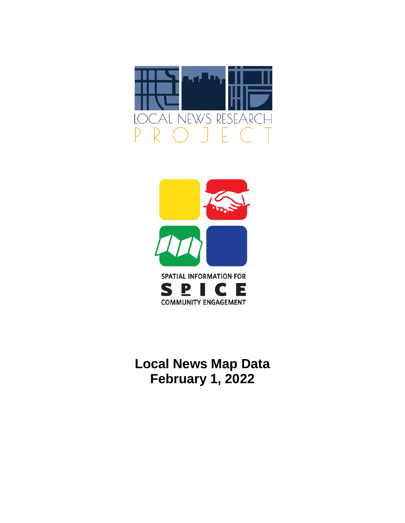



**Local News Map Data February 1, 2022**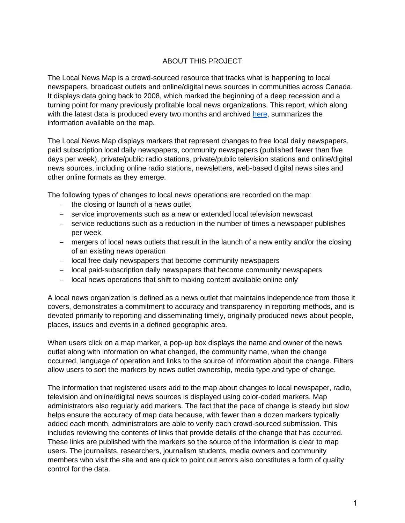### ABOUT THIS PROJECT

The Local News Map is a crowd-sourced resource that tracks what is happening to local newspapers, broadcast outlets and online/digital news sources in communities across Canada. It displays data going back to 2008, which marked the beginning of a deep recession and a turning point for many previously profitable local news organizations. This report, which along with the latest data is produced every two months and archived [here,](https://localnewsresearchproject.ca/category/local-news-map-data/) summarizes the information available on the map.

The Local News Map displays markers that represent changes to free local daily newspapers, paid subscription local daily newspapers, community newspapers (published fewer than five days per week), private/public radio stations, private/public television stations and online/digital news sources, including online radio stations, newsletters, web-based digital news sites and other online formats as they emerge.

The following types of changes to local news operations are recorded on the map:

- − the closing or launch of a news outlet
- − service improvements such as a new or extended local television newscast
- − service reductions such as a reduction in the number of times a newspaper publishes per week
- − mergers of local news outlets that result in the launch of a new entity and/or the closing of an existing news operation
- − local free daily newspapers that become community newspapers
- − local paid-subscription daily newspapers that become community newspapers
- − local news operations that shift to making content available online only

A local news organization is defined as a news outlet that maintains independence from those it covers, demonstrates a commitment to accuracy and transparency in reporting methods, and is devoted primarily to reporting and disseminating timely, originally produced news about people, places, issues and events in a defined geographic area.

When users click on a map marker, a pop-up box displays the name and owner of the news outlet along with information on what changed, the community name, when the change occurred, language of operation and links to the source of information about the change. Filters allow users to sort the markers by news outlet ownership, media type and type of change.

The information that registered users add to the map about changes to local newspaper, radio, television and online/digital news sources is displayed using color-coded markers. Map administrators also regularly add markers. The fact that the pace of change is steady but slow helps ensure the accuracy of map data because, with fewer than a dozen markers typically added each month, administrators are able to verify each crowd-sourced submission. This includes reviewing the contents of links that provide details of the change that has occurred. These links are published with the markers so the source of the information is clear to map users. The journalists, researchers, journalism students, media owners and community members who visit the site and are quick to point out errors also constitutes a form of quality control for the data.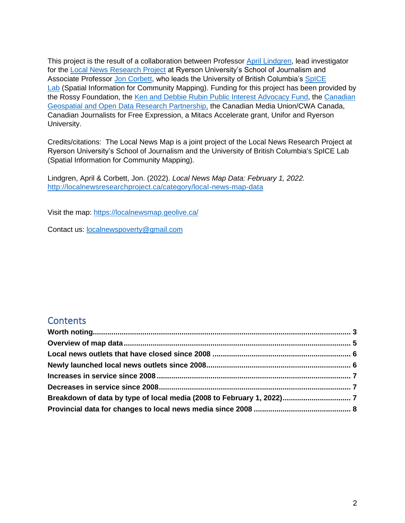This project is the result of a collaboration between Professor [April Lindgren,](http://rsj.journalism.ryerson.ca/team/april-lindgren/) lead investigator for the [Local News Research Project](http://localnewsresearchproject.ca/) at Ryerson University's School of Journalism and Associate Professor Jon [Corbett,](http://joncorbett.com/JonCorbett/Home.html) who leads the University of British Columbia's [SpICE](http://spice.geolive.ca/)  [Lab](http://spice.geolive.ca/) (Spatial Information for Community Mapping). Funding for this project has been provided by the Rossy Foundation, the [Ken and Debbie Rubin Public Interest Advocacy Fund,](http://kenrubin.ca/grants/) the [Canadian](http://geothink.ca/)  [Geospatial and Open Data Research Partnership,](http://geothink.ca/) the Canadian Media Union/CWA Canada, Canadian Journalists for Free Expression, a Mitacs Accelerate grant, Unifor and Ryerson University.

Credits/citations: The Local News Map is a joint project of the Local News Research Project at Ryerson University's School of Journalism and the University of British Columbia's SpICE Lab (Spatial Information for Community Mapping).

Lindgren, April & Corbett, Jon. (2022). *Local News Map Data: February 1, 2022.*  <http://localnewsresearchproject.ca/category/local-news-map-data>

Visit the map:<https://localnewsmap.geolive.ca/>

Contact us: [localnewspoverty@gmail.com](mailto:localnewspoverty@gmail.com)

### **Contents**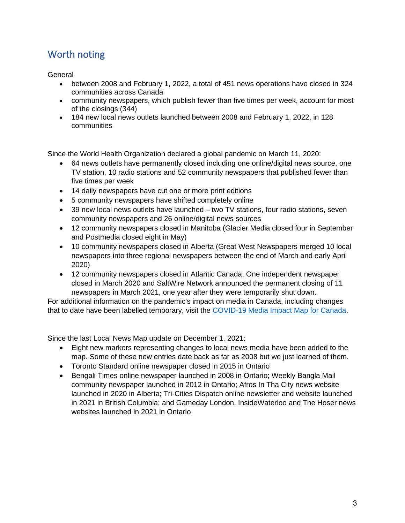# <span id="page-3-0"></span>Worth noting

<span id="page-3-1"></span>General

- between 2008 and February 1, 2022, a total of 451 news operations have closed in 324 communities across Canada
- community newspapers, which publish fewer than five times per week, account for most of the closings (344)
- 184 new local news outlets launched between 2008 and February 1, 2022, in 128 communities

Since the World Health Organization declared a global pandemic on March 11, 2020:

- 64 news outlets have permanently closed including one online/digital news source, one TV station, 10 radio stations and 52 community newspapers that published fewer than five times per week
- 14 daily newspapers have cut one or more print editions
- 5 community newspapers have shifted completely online
- 39 new local news outlets have launched two TV stations, four radio stations, seven community newspapers and 26 online/digital news sources
- 12 community newspapers closed in Manitoba (Glacier Media closed four in September and Postmedia closed eight in May)
- 10 community newspapers closed in Alberta (Great West Newspapers merged 10 local newspapers into three regional newspapers between the end of March and early April 2020)
- 12 community newspapers closed in Atlantic Canada. One independent newspaper closed in March 2020 and SaltWire Network announced the permanent closing of 11 newspapers in March 2021, one year after they were temporarily shut down.

For additional information on the pandemic's impact on media in Canada, including changes that to date have been labelled temporary, visit the [COVID-19 Media Impact Map for Canada.](https://localnewsresearchproject.ca/covid-19-media-impact-map-for-canada/)

Since the last Local News Map update on December 1, 2021:

- Eight new markers representing changes to local news media have been added to the map. Some of these new entries date back as far as 2008 but we just learned of them.
- Toronto Standard online newspaper closed in 2015 in Ontario
- Bengali Times online newspaper launched in 2008 in Ontario; Weekly Bangla Mail community newspaper launched in 2012 in Ontario; Afros In Tha City news website launched in 2020 in Alberta; Tri-Cities Dispatch online newsletter and website launched in 2021 in British Columbia; and Gameday London, InsideWaterloo and The Hoser news websites launched in 2021 in Ontario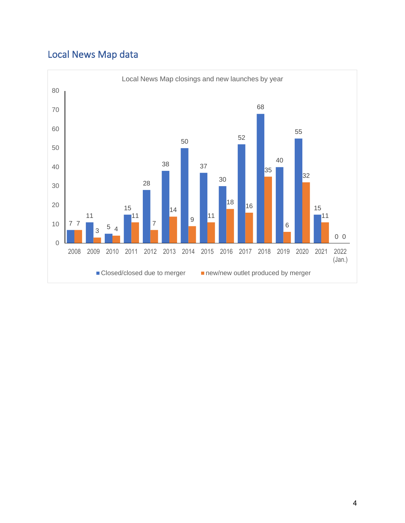# Local News Map data

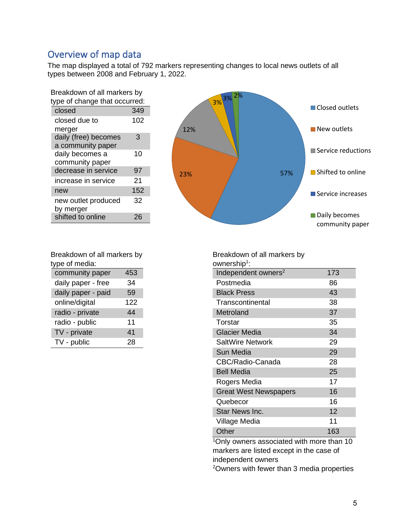## Overview of map data

The map displayed a total of 792 markers representing changes to local news outlets of all types between 2008 and February 1, 2022.

| Breakdown of all markers by               |     |  |  |  |
|-------------------------------------------|-----|--|--|--|
| type of change that occurred:             |     |  |  |  |
| closed                                    | 349 |  |  |  |
| closed due to<br>merger                   | 102 |  |  |  |
| daily (free) becomes<br>a community paper | 3   |  |  |  |
| daily becomes a<br>community paper        | 10  |  |  |  |
| decrease in service                       | 97  |  |  |  |
| increase in service                       | 21  |  |  |  |
| new                                       | 152 |  |  |  |
| new outlet produced<br>by merger          | 32  |  |  |  |
| shifted to online                         | 26  |  |  |  |



| Breakdown of all markers by  |     |  |  |
|------------------------------|-----|--|--|
| type of media:               |     |  |  |
| community paper              | 453 |  |  |
| daily paper - free           | 34  |  |  |
| المناسب<br>المتمسم والمالحات |     |  |  |

| daily paper - paid | 59  |
|--------------------|-----|
| online/digital     | 122 |
| radio - private    | 44  |
| radio - public     | 11  |
| TV - private       | 41  |
| TV - public        | 28  |

Breakdown of all markers by ownership<sup>1</sup>: Independent owners<sup>2</sup> 173 Postmedia 86 Black Press 43 Transcontinental 38 Metroland 37 Torstar 35 Glacier Media 34 SaltWire Network 29 Sun Media 29 CBC/Radio-Canada 28 Bell Media 25 Rogers Media 17 Great West Newspapers 16 Quebecor 16 Star News Inc. 12 Village Media 11 Other 163

<sup>1</sup>Only owners associated with more than 10 markers are listed except in the case of independent owners

<sup>2</sup>Owners with fewer than 3 media properties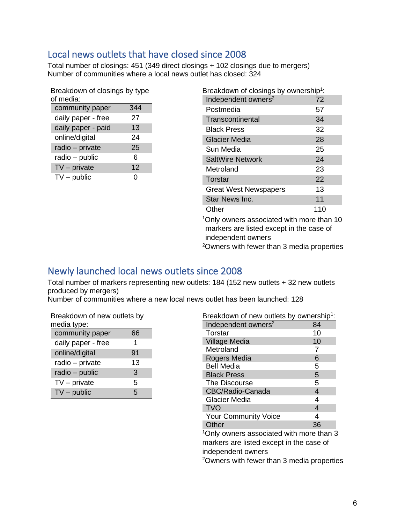## <span id="page-6-0"></span>Local news outlets that have closed since 2008

Total number of closings: 451 (349 direct closings + 102 closings due to mergers) Number of communities where a local news outlet has closed: 324

| Breakdown of closings by type |     |  |  |  |
|-------------------------------|-----|--|--|--|
| of media:                     |     |  |  |  |
| community paper               | 344 |  |  |  |
| daily paper - free            | 27  |  |  |  |
| daily paper - paid            | 13  |  |  |  |
| online/digital                | 24  |  |  |  |
| radio - private               | 25  |  |  |  |
| radio - public                | 6   |  |  |  |
| $TV$ – private                | 12  |  |  |  |
| $TV$ – public                 | 0   |  |  |  |

| Breakdown of closings by ownership <sup>1</sup> : |     |
|---------------------------------------------------|-----|
| Independent owners <sup>2</sup>                   | 72  |
| Postmedia                                         | 57  |
| Transcontinental                                  | 34  |
| <b>Black Press</b>                                | 32  |
| <b>Glacier Media</b>                              | 28  |
| Sun Media                                         | 25  |
| <b>SaltWire Network</b>                           | 24  |
| Metroland                                         | 23  |
| Torstar                                           | 22  |
| <b>Great West Newspapers</b>                      | 13  |
| Star News Inc.                                    | 11  |
| Other                                             | 110 |
| $10$ nly owners associated with more than $10$    |     |

<sup>1</sup>Only owners associated with more than 10 markers are listed except in the case of independent owners

<sup>2</sup>Owners with fewer than 3 media properties

### <span id="page-6-1"></span>Newly launched local news outlets since 2008

Total number of markers representing new outlets: 184 (152 new outlets + 32 new outlets produced by mergers)

Number of communities where a new local news outlet has been launched: 128

| Breakdown of new outlets by |    |
|-----------------------------|----|
| media type:                 |    |
| community paper             | 66 |
| daily paper - free          | 1  |
| online/digital              | 91 |
| radio - private             | 13 |
| radio - public              | 3  |
| $TV$ – private              | 5  |
| $TV$ – public               | 5  |

| Breakdown of new outlets by ownership <sup>1</sup> :   |    |  |  |  |
|--------------------------------------------------------|----|--|--|--|
| Independent owners <sup>2</sup>                        | 84 |  |  |  |
| Torstar                                                | 10 |  |  |  |
| <b>Village Media</b>                                   | 10 |  |  |  |
| Metroland                                              | 7  |  |  |  |
| Rogers Media                                           | 6  |  |  |  |
| <b>Bell Media</b>                                      | 5  |  |  |  |
| <b>Black Press</b>                                     | 5  |  |  |  |
| The Discourse                                          | 5  |  |  |  |
| CBC/Radio-Canada                                       | 4  |  |  |  |
| Glacier Media                                          | 4  |  |  |  |
| <b>TVO</b>                                             | 4  |  |  |  |
| <b>Your Community Voice</b>                            | 4  |  |  |  |
| Other                                                  | 36 |  |  |  |
| <sup>1</sup> Only owners associated with more than 3   |    |  |  |  |
| markers are listed except in the case of               |    |  |  |  |
| independent owners                                     |    |  |  |  |
| <sup>2</sup> Owners with fewer than 3 media properties |    |  |  |  |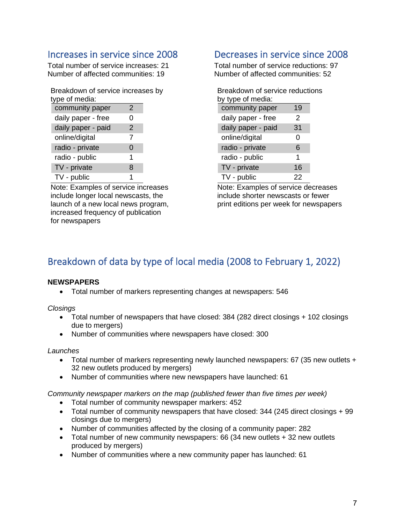### <span id="page-7-0"></span>Increases in service since 2008

Total number of service increases: 21 Number of affected communities: 19

| Breakdown of service increases by<br>type of media: |   |  |
|-----------------------------------------------------|---|--|
| community paper                                     | 2 |  |
| daily paper - free                                  | O |  |
| daily paper - paid                                  | 2 |  |
| online/digital                                      | 7 |  |
| radio - private                                     | 0 |  |
| radio - public                                      | 1 |  |
| TV - private                                        | 8 |  |
| TV - public                                         |   |  |

Note: Examples of service increases include longer local newscasts, the launch of a new local news program, increased frequency of publication for newspapers

### <span id="page-7-1"></span>Decreases in service since 2008

Total number of service reductions: 97 Number of affected communities: 52

| Breakdown of service reductions |    |  |  |  |  |
|---------------------------------|----|--|--|--|--|
| by type of media:               |    |  |  |  |  |
| community paper                 | 19 |  |  |  |  |
| daily paper - free              | 2  |  |  |  |  |
| daily paper - paid              | 31 |  |  |  |  |
| online/digital                  | Ω  |  |  |  |  |
| radio - private                 | 6  |  |  |  |  |
| radio - public                  | 1  |  |  |  |  |
| TV - private                    | 16 |  |  |  |  |
| TV - public                     | 22 |  |  |  |  |

Note: Examples of service decreases include shorter newscasts or fewer print editions per week for newspapers

# <span id="page-7-2"></span>Breakdown of data by type of local media (2008 to February 1, 2022)

#### **NEWSPAPERS**

• Total number of markers representing changes at newspapers: 546

*Closings*

- Total number of newspapers that have closed: 384 (282 direct closings + 102 closings due to mergers)
- Number of communities where newspapers have closed: 300

#### *Launches*

- Total number of markers representing newly launched newspapers: 67 (35 new outlets + 32 new outlets produced by mergers)
- Number of communities where new newspapers have launched: 61

*Community newspaper markers on the map (published fewer than five times per week)* 

- Total number of community newspaper markers: 452
- Total number of community newspapers that have closed: 344 (245 direct closings + 99 closings due to mergers)
- Number of communities affected by the closing of a community paper: 282
- Total number of new community newspapers: 66 (34 new outlets + 32 new outlets produced by mergers)
- Number of communities where a new community paper has launched: 61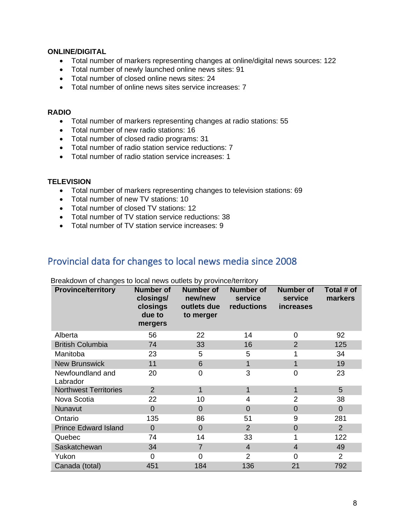#### **ONLINE/DIGITAL**

- Total number of markers representing changes at online/digital news sources: 122
- Total number of newly launched online news sites: 91
- Total number of closed online news sites: 24
- Total number of online news sites service increases: 7

#### **RADIO**

- Total number of markers representing changes at radio stations: 55
- Total number of new radio stations: 16
- Total number of closed radio programs: 31
- Total number of radio station service reductions: 7
- Total number of radio station service increases: 1

#### **TELEVISION**

- Total number of markers representing changes to television stations: 69
- Total number of new TV stations: 10
- Total number of closed TV stations: 12
- Total number of TV station service reductions: 38
- Total number of TV station service increases: 9

### <span id="page-8-0"></span>Provincial data for changes to local news media since 2008

| <b>Province/territory</b>    | <b>Number of</b><br>closings/<br>closings<br>due to<br>mergers | <b>Number of</b><br>new/new<br>outlets due<br>to merger | <b>Number of</b><br>service<br>reductions | <b>Number of</b><br>service<br><i>increases</i> | Total # of<br>markers |
|------------------------------|----------------------------------------------------------------|---------------------------------------------------------|-------------------------------------------|-------------------------------------------------|-----------------------|
| Alberta                      | 56                                                             | 22                                                      | 14                                        | $\Omega$                                        | 92                    |
| <b>British Columbia</b>      | 74                                                             | 33                                                      | 16                                        | 2                                               | 125                   |
| Manitoba                     | 23                                                             | 5                                                       | 5                                         | 1                                               | 34                    |
| <b>New Brunswick</b>         | 11                                                             | 6                                                       | 1                                         | 1                                               | 19                    |
| Newfoundland and<br>Labrador | 20                                                             | $\overline{0}$                                          | 3                                         | $\overline{0}$                                  | 23                    |
| <b>Northwest Territories</b> | 2                                                              | 1                                                       | $\mathbf{1}$                              | 1                                               | 5                     |
| Nova Scotia                  | 22                                                             | 10                                                      | 4                                         | 2                                               | 38                    |
| Nunavut                      | $\overline{0}$                                                 | $\Omega$                                                | $\Omega$                                  | $\overline{0}$                                  | $\overline{0}$        |
| Ontario                      | 135                                                            | 86                                                      | 51                                        | 9                                               | 281                   |
| <b>Prince Edward Island</b>  | $\overline{0}$                                                 | $\overline{0}$                                          | $\overline{2}$                            | $\overline{0}$                                  | 2                     |
| Quebec                       | 74                                                             | 14                                                      | 33                                        |                                                 | 122                   |
| Saskatchewan                 | 34                                                             | $\overline{7}$                                          | $\overline{4}$                            | $\overline{4}$                                  | 49                    |
| Yukon                        | $\Omega$                                                       | $\Omega$                                                | 2                                         | 0                                               | 2                     |
| Canada (total)               | 451                                                            | 184                                                     | 136                                       | 21                                              | 792                   |

Breakdown of changes to local news outlets by province/territory